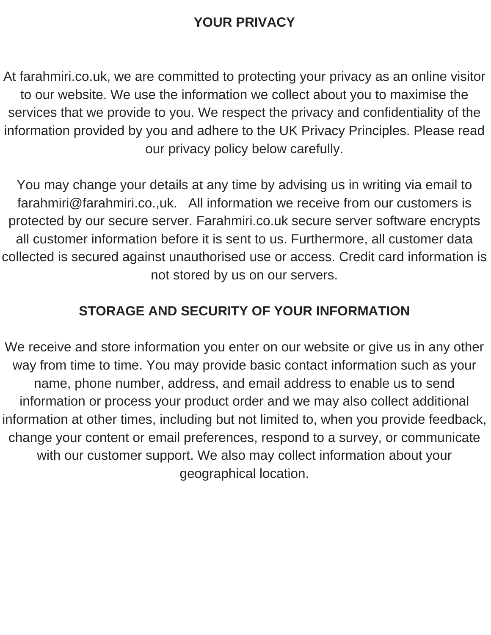#### **YOUR PRIVACY**

At farahmiri.co.uk, we are committed to protecting your privacy as an online visitor to our website. We use the information we collect about you to maximise the services that we provide to you. We respect the privacy and confidentiality of the information provided by you and adhere to the UK Privacy Principles. Please read our privacy policy below carefully.

You may change your details at any time by advising us in writing via email to farahmiri@farahmiri.co.,uk. All information we receive from our customers is protected by our secure server. Farahmiri.co.uk secure server software encrypts all customer information before it is sent to us. Furthermore, all customer data collected is secured against unauthorised use or access. Credit card information is not stored by us on our servers.

### **STORAGE AND SECURITY OF YOUR INFORMATION**

We receive and store information you enter on our website or give us in any other way from time to time. You may provide basic contact information such as your name, phone number, address, and email address to enable us to send information or process your product order and we may also collect additional information at other times, including but not limited to, when you provide feedback, change your content or email preferences, respond to a survey, or communicate with our customer support. We also may collect information about your geographical location.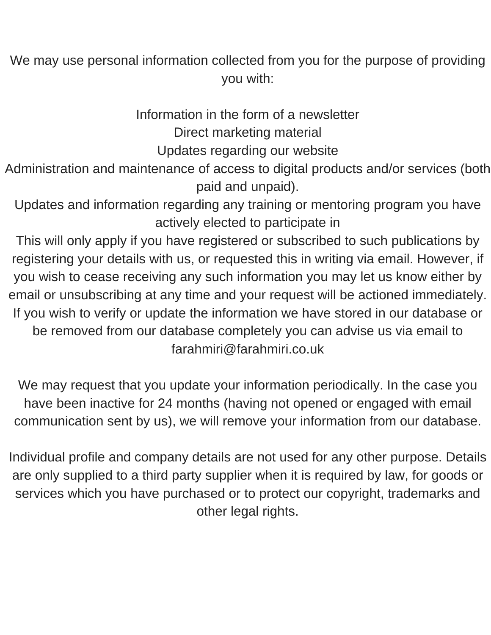We may use personal information collected from you for the purpose of providing you with:

Information in the form of a newsletter

Direct marketing material

Updates regarding our website

Administration and maintenance of access to digital products and/or services (both paid and unpaid).

Updates and information regarding any training or mentoring program you have actively elected to participate in

This will only apply if you have registered or subscribed to such publications by registering your details with us, or requested this in writing via email. However, if you wish to cease receiving any such information you may let us know either by email or unsubscribing at any time and your request will be actioned immediately. If you wish to verify or update the information we have stored in our database or be removed from our database completely you can advise us via email to farahmiri@farahmiri.co.uk

We may request that you update your information periodically. In the case you have been inactive for 24 months (having not opened or engaged with email communication sent by us), we will remove your information from our database.

Individual profile and company details are not used for any other purpose. Details are only supplied to a third party supplier when it is required by law, for goods or services which you have purchased or to protect our copyright, trademarks and other legal rights.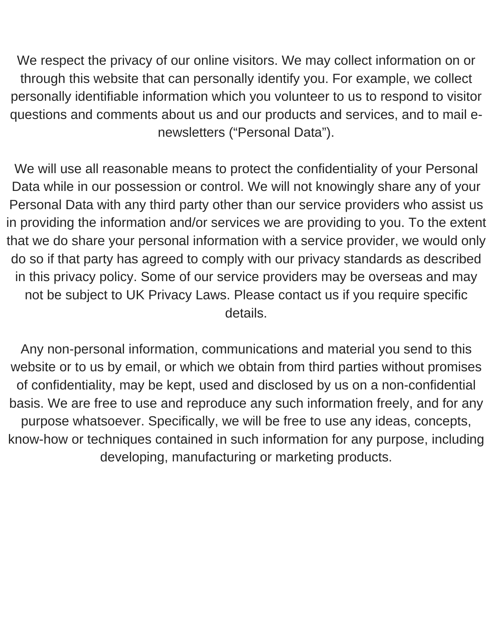We respect the privacy of our online visitors. We may collect information on or through this website that can personally identify you. For example, we collect personally identifiable information which you volunteer to us to respond to visitor questions and comments about us and our products and services, and to mail enewsletters ("Personal Data").

We will use all reasonable means to protect the confidentiality of your Personal Data while in our possession or control. We will not knowingly share any of your Personal Data with any third party other than our service providers who assist us in providing the information and/or services we are providing to you. To the extent that we do share your personal information with a service provider, we would only do so if that party has agreed to comply with our privacy standards as described in this privacy policy. Some of our service providers may be overseas and may not be subject to UK Privacy Laws. Please contact us if you require specific details.

Any non-personal information, communications and material you send to this website or to us by email, or which we obtain from third parties without promises of confidentiality, may be kept, used and disclosed by us on a non-confidential basis. We are free to use and reproduce any such information freely, and for any purpose whatsoever. Specifically, we will be free to use any ideas, concepts, know-how or techniques contained in such information for any purpose, including developing, manufacturing or marketing products.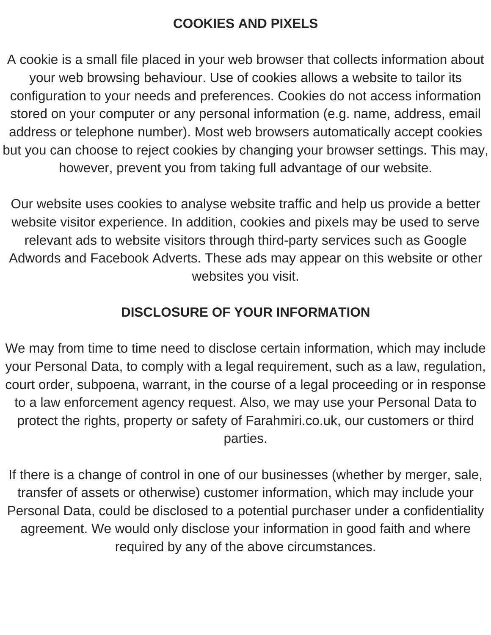## **COOKIES AND PIXELS**

A cookie is a small file placed in your web browser that collects information about your web browsing behaviour. Use of cookies allows a website to tailor its configuration to your needs and preferences. Cookies do not access information stored on your computer or any personal information (e.g. name, address, email address or telephone number). Most web browsers automatically accept cookies but you can choose to reject cookies by changing your browser settings. This may, however, prevent you from taking full advantage of our website.

Our website uses cookies to analyse website traffic and help us provide a better website visitor experience. In addition, cookies and pixels may be used to serve relevant ads to website visitors through third-party services such as Google Adwords and Facebook Adverts. These ads may appear on this website or other websites you visit.

# **DISCLOSURE OF YOUR INFORMATION**

We may from time to time need to disclose certain information, which may include your Personal Data, to comply with a legal requirement, such as a law, regulation, court order, subpoena, warrant, in the course of a legal proceeding or in response to a law enforcement agency request. Also, we may use your Personal Data to protect the rights, property or safety of Farahmiri.co.uk, our customers or third parties.

If there is a change of control in one of our businesses (whether by merger, sale, transfer of assets or otherwise) customer information, which may include your Personal Data, could be disclosed to a potential purchaser under a confidentiality agreement. We would only disclose your information in good faith and where required by any of the above circumstances.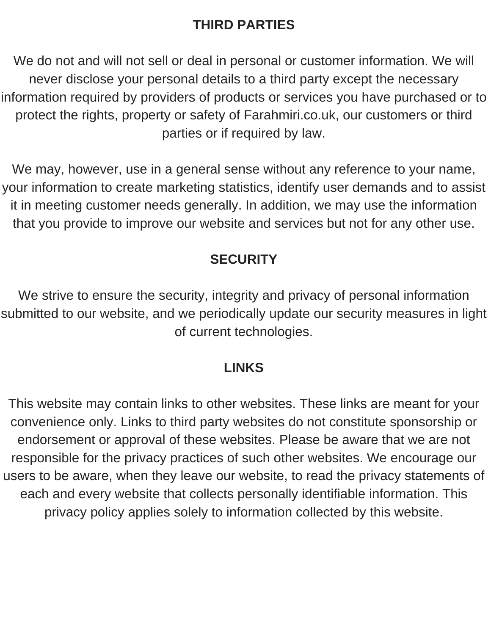## **THIRD PARTIES**

We do not and will not sell or deal in personal or customer information. We will never disclose your personal details to a third party except the necessary information required by providers of products or services you have purchased or to protect the rights, property or safety of Farahmiri.co.uk, our customers or third parties or if required by law.

We may, however, use in a general sense without any reference to your name, your information to create marketing statistics, identify user demands and to assist it in meeting customer needs generally. In addition, we may use the information that you provide to improve our website and services but not for any other use.

## **SECURITY**

We strive to ensure the security, integrity and privacy of personal information submitted to our website, and we periodically update our security measures in light of current technologies.

#### **LINKS**

This website may contain links to other websites. These links are meant for your convenience only. Links to third party websites do not constitute sponsorship or endorsement or approval of these websites. Please be aware that we are not responsible for the privacy practices of such other websites. We encourage our users to be aware, when they leave our website, to read the privacy statements of each and every website that collects personally identifiable information. This privacy policy applies solely to information collected by this website.